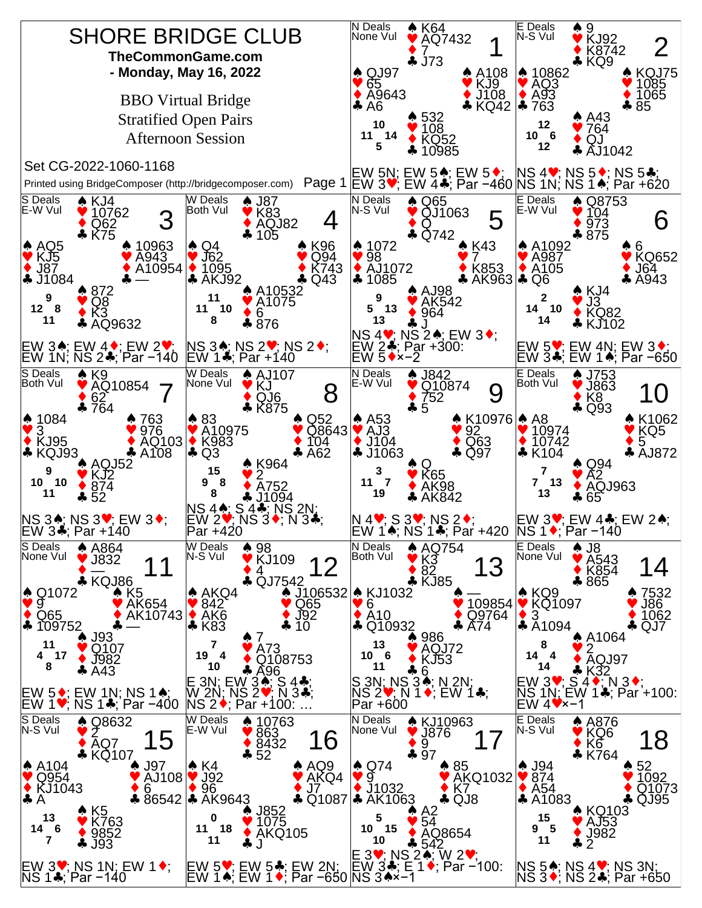